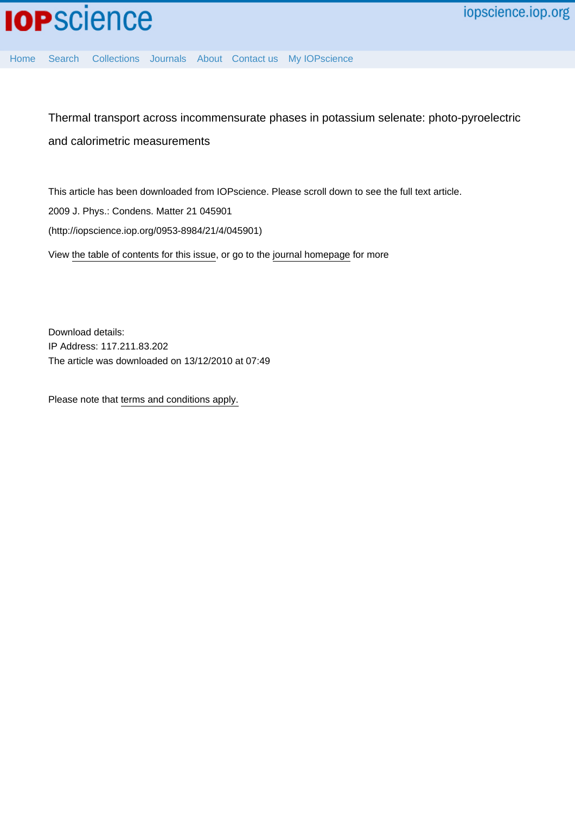[Home](http://iopscience.iop.org/) [Search](http://iopscience.iop.org/search) [Collections](http://iopscience.iop.org/collections) [Journals](http://iopscience.iop.org/journals) [About](http://iopscience.iop.org/page/aboutioppublishing) [Contact us](http://iopscience.iop.org/contact) [My IOPscience](http://iopscience.iop.org/myiopscience)

Thermal transport across incommensurate phases in potassium selenate: photo-pyroelectric and calorimetric measurements

This article has been downloaded from IOPscience. Please scroll down to see the full text article. 2009 J. Phys.: Condens. Matter 21 045901 (http://iopscience.iop.org/0953-8984/21/4/045901) View [the table of contents for this issue](http://iopscience.iop.org/0953-8984/21/4), or go to the [journal homepage](http://iopscience.iop.org/0953-8984) for more

Download details: IP Address: 117.211.83.202 The article was downloaded on 13/12/2010 at 07:49

Please note that [terms and conditions apply.](http://iopscience.iop.org/page/terms)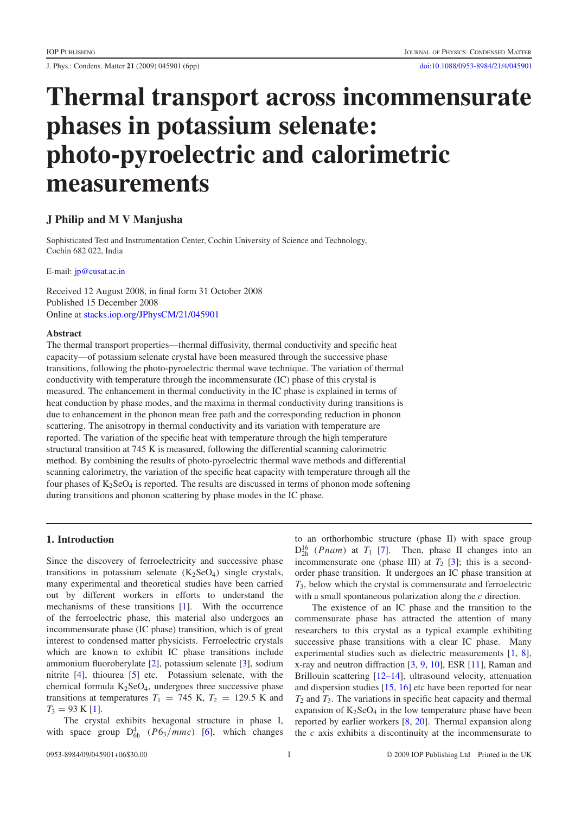J. Phys.: Condens. Matter **21** (2009) 045901 (6pp) [doi:10.1088/0953-8984/21/4/045901](http://dx.doi.org/10.1088/0953-8984/21/4/045901)

# **Thermal transport across incommensurate phases in potassium selenate: photo-pyroelectric and calorimetric measurements**

# **J Philip and M V Manjusha**

Sophisticated Test and Instrumentation Center, Cochin University of Science and Technology, Cochin 682 022, India

E-mail: [jp@cusat.ac.in](mailto:jp@cusat.ac.in)

Received 12 August 2008, in final form 31 October 2008 Published 15 December 2008 Online at [stacks.iop.org/JPhysCM/21/045901](http://stacks.iop.org/JPhysCM/21/045901)

### **Abstract**

The thermal transport properties—thermal diffusivity, thermal conductivity and specific heat capacity—of potassium selenate crystal have been measured through the successive phase transitions, following the photo-pyroelectric thermal wave technique. The variation of thermal conductivity with temperature through the incommensurate (IC) phase of this crystal is measured. The enhancement in thermal conductivity in the IC phase is explained in terms of heat conduction by phase modes, and the maxima in thermal conductivity during transitions is due to enhancement in the phonon mean free path and the corresponding reduction in phonon scattering. The anisotropy in thermal conductivity and its variation with temperature are reported. The variation of the specific heat with temperature through the high temperature structural transition at 745 K is measured, following the differential scanning calorimetric method. By combining the results of photo-pyroelectric thermal wave methods and differential scanning calorimetry, the variation of the specific heat capacity with temperature through all the four phases of  $K_2$ SeO<sub>4</sub> is reported. The results are discussed in terms of phonon mode softening during transitions and phonon scattering by phase modes in the IC phase.

# **1. Introduction**

Since the discovery of ferroelectricity and successive phase transitions in potassium selenate  $(K_2SeO_4)$  single crystals, many experimental and theoretical studies have been carried out by different workers in efforts to understand the mechanisms of these transitions [\[1\]](#page-6-0). With the occurrence of the ferroelectric phase, this material also undergoes an incommensurate phase (IC phase) transition, which is of great interest to condensed matter physicists. Ferroelectric crystals which are known to exhibit IC phase transitions include ammonium fluoroberylate [\[2\]](#page-6-1), potassium selenate [\[3\]](#page-6-2), sodium nitrite [\[4\]](#page-6-3), thiourea [\[5\]](#page-6-4) etc. Potassium selenate, with the chemical formula  $K_2$ SeO<sub>4</sub>, undergoes three successive phase transitions at temperatures  $T_1 = 745$  K,  $T_2 = 129.5$  K and  $T_3 = 93$  K [\[1\]](#page-6-0).

The crystal exhibits hexagonal structure in phase I, with space group  $D_{6h}^4$  ( $P6_3/mmc$ ) [\[6\]](#page-6-5), which changes

to an orthorhombic structure (phase II) with space group  $D_{2h}^{16}$  (*Pnam*) at *T*<sub>1</sub> [\[7\]](#page-6-6). Then, phase II changes into an incommensurate one (phase III) at  $T_2$  [\[3\]](#page-6-2); this is a secondorder phase transition. It undergoes an IC phase transition at *T*3, below which the crystal is commensurate and ferroelectric with a small spontaneous polarization along the *c* direction.

The existence of an IC phase and the transition to the commensurate phase has attracted the attention of many researchers to this crystal as a typical example exhibiting successive phase transitions with a clear IC phase. Many experimental studies such as dielectric measurements [\[1,](#page-6-0) [8\]](#page-6-7), x-ray and neutron diffraction [\[3,](#page-6-2) [9,](#page-6-8) [10\]](#page-6-9), ESR [\[11\]](#page-6-10), Raman and Brillouin scattering [\[12–14\]](#page-6-11), ultrasound velocity, attenuation and dispersion studies [\[15,](#page-6-12) [16\]](#page-6-13) etc have been reported for near *T*<sup>2</sup> and *T*3. The variations in specific heat capacity and thermal expansion of  $K_2$ SeO<sub>4</sub> in the low temperature phase have been reported by earlier workers [\[8,](#page-6-7) [20\]](#page-6-14). Thermal expansion along the *c* axis exhibits a discontinuity at the incommensurate to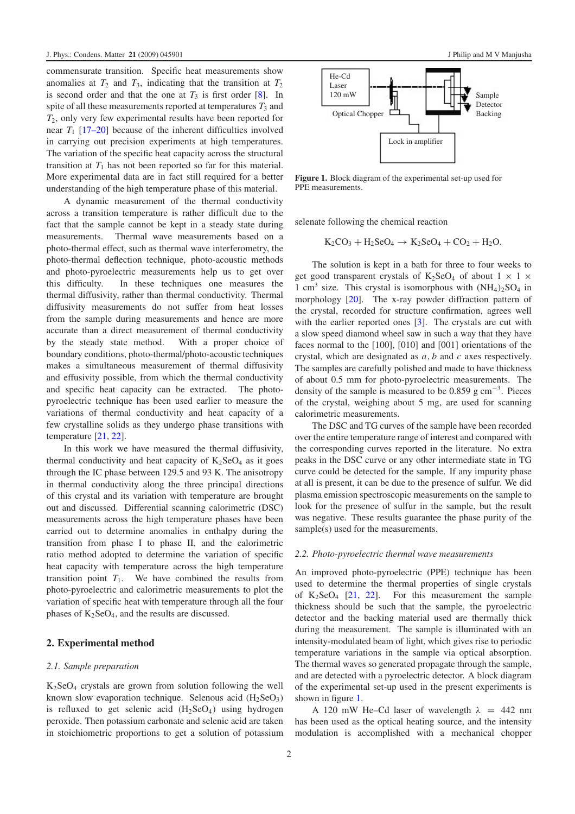commensurate transition. Specific heat measurements show anomalies at  $T_2$  and  $T_3$ , indicating that the transition at  $T_2$ is second order and that the one at  $T_3$  is first order  $[8]$ . In spite of all these measurements reported at temperatures  $T_3$  and *T*2, only very few experimental results have been reported for near  $T_1$  [\[17–20\]](#page-6-15) because of the inherent difficulties involved in carrying out precision experiments at high temperatures. The variation of the specific heat capacity across the structural transition at  $T_1$  has not been reported so far for this material. More experimental data are in fact still required for a better understanding of the high temperature phase of this material.

A dynamic measurement of the thermal conductivity across a transition temperature is rather difficult due to the fact that the sample cannot be kept in a steady state during measurements. Thermal wave measurements based on a photo-thermal effect, such as thermal wave interferometry, the photo-thermal deflection technique, photo-acoustic methods and photo-pyroelectric measurements help us to get over this difficulty. In these techniques one measures the thermal diffusivity, rather than thermal conductivity. Thermal diffusivity measurements do not suffer from heat losses from the sample during measurements and hence are more accurate than a direct measurement of thermal conductivity by the steady state method. With a proper choice of boundary conditions, photo-thermal/photo-acoustic techniques makes a simultaneous measurement of thermal diffusivity and effusivity possible, from which the thermal conductivity and specific heat capacity can be extracted. The photopyroelectric technique has been used earlier to measure the variations of thermal conductivity and heat capacity of a few crystalline solids as they undergo phase transitions with temperature [\[21,](#page-6-16) [22\]](#page-6-17).

In this work we have measured the thermal diffusivity, thermal conductivity and heat capacity of  $K_2SeO_4$  as it goes through the IC phase between 129.5 and 93 K. The anisotropy in thermal conductivity along the three principal directions of this crystal and its variation with temperature are brought out and discussed. Differential scanning calorimetric (DSC) measurements across the high temperature phases have been carried out to determine anomalies in enthalpy during the transition from phase I to phase II, and the calorimetric ratio method adopted to determine the variation of specific heat capacity with temperature across the high temperature transition point  $T_1$ . We have combined the results from photo-pyroelectric and calorimetric measurements to plot the variation of specific heat with temperature through all the four phases of  $K_2$ SeO<sub>4</sub>, and the results are discussed.

# **2. Experimental method**

#### *2.1. Sample preparation*

 $K<sub>2</sub>SeO<sub>4</sub>$  crystals are grown from solution following the well known slow evaporation technique. Selenous acid  $(H_2SeO_3)$ is refluxed to get selenic acid  $(H_2SeO_4)$  using hydrogen peroxide. Then potassium carbonate and selenic acid are taken in stoichiometric proportions to get a solution of potassium

<span id="page-2-0"></span>

**Figure 1.** Block diagram of the experimental set-up used for PPE measurements.

selenate following the chemical reaction

$$
K_2CO_3 + H_2SeO_4 \rightarrow K_2SeO_4 + CO_2 + H_2O.
$$

The solution is kept in a bath for three to four weeks to get good transparent crystals of  $K_2$ SeO<sub>4</sub> of about  $1 \times 1 \times$ 1 cm<sup>3</sup> size. This crystal is isomorphous with  $(NH_4)_2SO_4$  in morphology [\[20\]](#page-6-14). The x-ray powder diffraction pattern of the crystal, recorded for structure confirmation, agrees well with the earlier reported ones [\[3\]](#page-6-2). The crystals are cut with a slow speed diamond wheel saw in such a way that they have faces normal to the [100], [010] and [001] orientations of the crystal, which are designated as *a*, *b* and *c* axes respectively. The samples are carefully polished and made to have thickness of about 0.5 mm for photo-pyroelectric measurements. The density of the sample is measured to be  $0.859$  g cm<sup>-3</sup>. Pieces of the crystal, weighing about 5 mg, are used for scanning calorimetric measurements.

The DSC and TG curves of the sample have been recorded over the entire temperature range of interest and compared with the corresponding curves reported in the literature. No extra peaks in the DSC curve or any other intermediate state in TG curve could be detected for the sample. If any impurity phase at all is present, it can be due to the presence of sulfur. We did plasma emission spectroscopic measurements on the sample to look for the presence of sulfur in the sample, but the result was negative. These results guarantee the phase purity of the sample(s) used for the measurements.

#### *2.2. Photo-pyroelectric thermal wave measurements*

An improved photo-pyroelectric (PPE) technique has been used to determine the thermal properties of single crystals of  $K_2$ SeO<sub>4</sub> [\[21,](#page-6-16) [22\]](#page-6-17). For this measurement the sample thickness should be such that the sample, the pyroelectric detector and the backing material used are thermally thick during the measurement. The sample is illuminated with an intensity-modulated beam of light, which gives rise to periodic temperature variations in the sample via optical absorption. The thermal waves so generated propagate through the sample, and are detected with a pyroelectric detector. A block diagram of the experimental set-up used in the present experiments is shown in figure [1.](#page-2-0)

A 120 mW He–Cd laser of wavelength  $\lambda$  = 442 nm has been used as the optical heating source, and the intensity modulation is accomplished with a mechanical chopper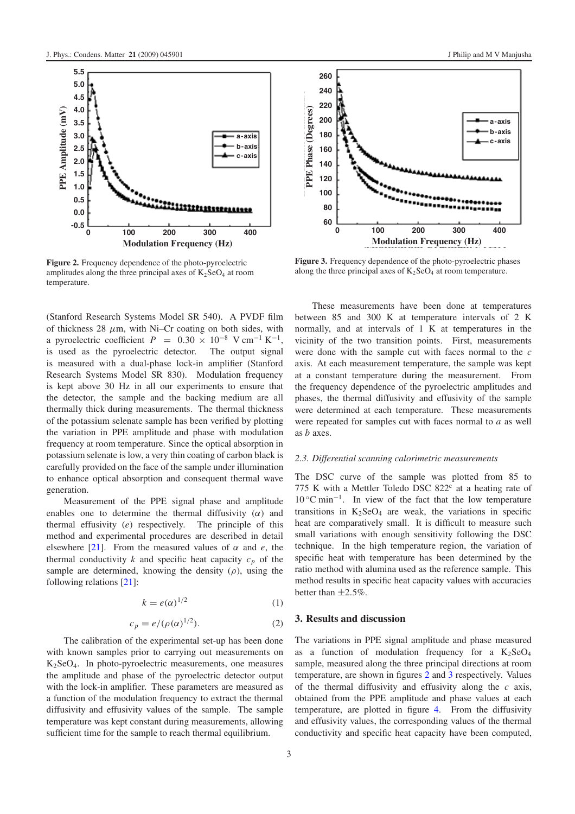<span id="page-3-0"></span>

**Figure 2.** Frequency dependence of the photo-pyroelectric amplitudes along the three principal axes of  $K_2SeO_4$  at room temperature.

(Stanford Research Systems Model SR 540). A PVDF film of thickness 28  $\mu$ m, with Ni–Cr coating on both sides, with a pyroelectric coefficient  $P = 0.30 \times 10^{-8}$  V cm<sup>-1</sup> K<sup>-1</sup>, is used as the pyroelectric detector. The output signal is measured with a dual-phase lock-in amplifier (Stanford Research Systems Model SR 830). Modulation frequency is kept above 30 Hz in all our experiments to ensure that the detector, the sample and the backing medium are all thermally thick during measurements. The thermal thickness of the potassium selenate sample has been verified by plotting the variation in PPE amplitude and phase with modulation frequency at room temperature. Since the optical absorption in potassium selenate is low, a very thin coating of carbon black is carefully provided on the face of the sample under illumination to enhance optical absorption and consequent thermal wave generation.

Measurement of the PPE signal phase and amplitude enables one to determine the thermal diffusivity  $(\alpha)$  and thermal effusivity (*e*) respectively. The principle of this method and experimental procedures are described in detail elsewhere [\[21\]](#page-6-16). From the measured values of  $\alpha$  and  $e$ , the thermal conductivity  $k$  and specific heat capacity  $c_p$  of the sample are determined, knowing the density  $(\rho)$ , using the following relations [\[21\]](#page-6-16):

$$
k = e(\alpha)^{1/2} \tag{1}
$$

$$
c_p = e/(\rho(\alpha)^{1/2}).\tag{2}
$$

The calibration of the experimental set-up has been done with known samples prior to carrying out measurements on K2SeO4. In photo-pyroelectric measurements, one measures the amplitude and phase of the pyroelectric detector output with the lock-in amplifier. These parameters are measured as a function of the modulation frequency to extract the thermal diffusivity and effusivity values of the sample. The sample temperature was kept constant during measurements, allowing sufficient time for the sample to reach thermal equilibrium.

<span id="page-3-1"></span>

**Figure 3.** Frequency dependence of the photo-pyroelectric phases along the three principal axes of  $K_2$ SeO<sub>4</sub> at room temperature.

These measurements have been done at temperatures between 85 and 300 K at temperature intervals of 2 K normally, and at intervals of 1 K at temperatures in the vicinity of the two transition points. First, measurements were done with the sample cut with faces normal to the *c* axis. At each measurement temperature, the sample was kept at a constant temperature during the measurement. From the frequency dependence of the pyroelectric amplitudes and phases, the thermal diffusivity and effusivity of the sample were determined at each temperature. These measurements were repeated for samples cut with faces normal to *a* as well as *b* axes.

## *2.3. Differential scanning calorimetric measurements*

The DSC curve of the sample was plotted from 85 to 775 K with a Mettler Toledo DSC  $822<sup>e</sup>$  at a heating rate of 10 ◦C min<sup>−</sup>1. In view of the fact that the low temperature transitions in  $K_2$ SeO<sub>4</sub> are weak, the variations in specific heat are comparatively small. It is difficult to measure such small variations with enough sensitivity following the DSC technique. In the high temperature region, the variation of specific heat with temperature has been determined by the ratio method with alumina used as the reference sample. This method results in specific heat capacity values with accuracies better than  $\pm 2.5\%$ .

# **3. Results and discussion**

The variations in PPE signal amplitude and phase measured as a function of modulation frequency for a  $K_2$ SeO<sub>4</sub> sample, measured along the three principal directions at room temperature, are shown in figures [2](#page-3-0) and [3](#page-3-1) respectively. Values of the thermal diffusivity and effusivity along the *c* axis, obtained from the PPE amplitude and phase values at each temperature, are plotted in figure [4.](#page-4-0) From the diffusivity and effusivity values, the corresponding values of the thermal conductivity and specific heat capacity have been computed,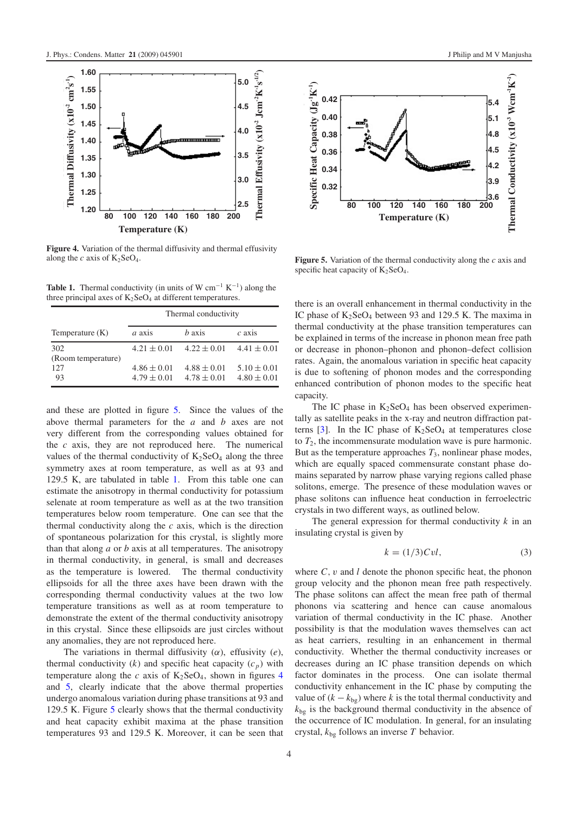<span id="page-4-0"></span>

<span id="page-4-2"></span>**Figure 4.** Variation of the thermal diffusivity and thermal effusivity along the  $c$  axis of  $K_2$ SeO<sub>4</sub>.

**Table 1.** Thermal conductivity (in units of W cm<sup>-1</sup> K<sup>-1</sup>) along the three principal axes of  $K_2$ SeO<sub>4</sub> at different temperatures.

|                           | Thermal conductivity               |                                    |                                    |
|---------------------------|------------------------------------|------------------------------------|------------------------------------|
| Temperature $(K)$         | a axis                             | <i>h</i> axis                      | $c$ axis                           |
| 302<br>(Room temperature) | $4.21 \pm 0.01$                    | $4.22 \pm 0.01$                    | $4.41 \pm 0.01$                    |
| 127<br>93                 | $4.86 \pm 0.01$<br>$4.79 \pm 0.01$ | $4.88 \pm 0.01$<br>$4.78 \pm 0.01$ | $5.10 \pm 0.01$<br>$4.80 \pm 0.01$ |

and these are plotted in figure [5.](#page-4-1) Since the values of the above thermal parameters for the *a* and *b* axes are not very different from the corresponding values obtained for the *c* axis, they are not reproduced here. The numerical values of the thermal conductivity of  $K_2$ SeO<sub>4</sub> along the three symmetry axes at room temperature, as well as at 93 and 129.5 K, are tabulated in table [1.](#page-4-2) From this table one can estimate the anisotropy in thermal conductivity for potassium selenate at room temperature as well as at the two transition temperatures below room temperature. One can see that the thermal conductivity along the *c* axis, which is the direction of spontaneous polarization for this crystal, is slightly more than that along *a* or *b* axis at all temperatures. The anisotropy in thermal conductivity, in general, is small and decreases as the temperature is lowered. The thermal conductivity ellipsoids for all the three axes have been drawn with the corresponding thermal conductivity values at the two low temperature transitions as well as at room temperature to demonstrate the extent of the thermal conductivity anisotropy in this crystal. Since these ellipsoids are just circles without any anomalies, they are not reproduced here.

The variations in thermal diffusivity  $(\alpha)$ , effusivity  $(e)$ , thermal conductivity  $(k)$  and specific heat capacity  $(c_p)$  with temperature along the *c* axis of  $K_2$ SeO<sub>[4](#page-4-0)</sub>, shown in figures 4 and [5,](#page-4-1) clearly indicate that the above thermal properties undergo anomalous variation during phase transitions at 93 and 129.5 K. Figure [5](#page-4-1) clearly shows that the thermal conductivity and heat capacity exhibit maxima at the phase transition temperatures 93 and 129.5 K. Moreover, it can be seen that

<span id="page-4-1"></span>

**Figure 5.** Variation of the thermal conductivity along the *c* axis and specific heat capacity of  $K_2$ SeO<sub>4</sub>.

there is an overall enhancement in thermal conductivity in the IC phase of  $K_2$ SeO<sub>4</sub> between 93 and 129.5 K. The maxima in thermal conductivity at the phase transition temperatures can be explained in terms of the increase in phonon mean free path or decrease in phonon–phonon and phonon–defect collision rates. Again, the anomalous variation in specific heat capacity is due to softening of phonon modes and the corresponding enhanced contribution of phonon modes to the specific heat capacity.

The IC phase in  $K_2$ SeO<sub>4</sub> has been observed experimentally as satellite peaks in the x-ray and neutron diffraction patterns  $[3]$ . In the IC phase of  $K_2$ SeO<sub>4</sub> at temperatures close to  $T_2$ , the incommensurate modulation wave is pure harmonic. But as the temperature approaches  $T_3$ , nonlinear phase modes, which are equally spaced commensurate constant phase domains separated by narrow phase varying regions called phase solitons, emerge. The presence of these modulation waves or phase solitons can influence heat conduction in ferroelectric crystals in two different ways, as outlined below.

The general expression for thermal conductivity *k* in an insulating crystal is given by

$$
k = (1/3)Cvl,
$$
\n(3)

where  $C$ ,  $v$  and  $l$  denote the phonon specific heat, the phonon group velocity and the phonon mean free path respectively. The phase solitons can affect the mean free path of thermal phonons via scattering and hence can cause anomalous variation of thermal conductivity in the IC phase. Another possibility is that the modulation waves themselves can act as heat carriers, resulting in an enhancement in thermal conductivity. Whether the thermal conductivity increases or decreases during an IC phase transition depends on which factor dominates in the process. One can isolate thermal conductivity enhancement in the IC phase by computing the value of  $(k - k_{bg})$  where *k* is the total thermal conductivity and  $k_{bg}$  is the background thermal conductivity in the absence of the occurrence of IC modulation. In general, for an insulating crystal,  $k_{bg}$  follows an inverse  $T$  behavior.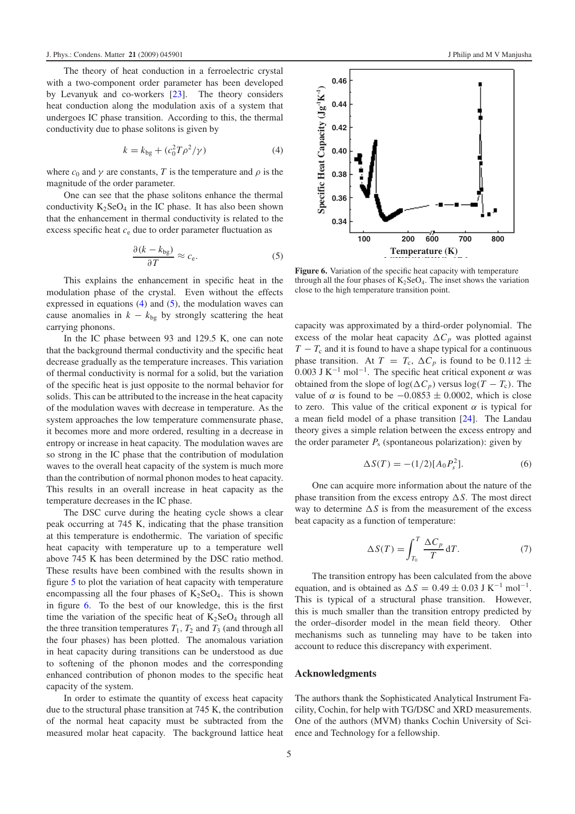The theory of heat conduction in a ferroelectric crystal with a two-component order parameter has been developed by Levanyuk and co-workers [\[23\]](#page-6-18). The theory considers heat conduction along the modulation axis of a system that undergoes IC phase transition. According to this, the thermal conductivity due to phase solitons is given by

<span id="page-5-1"></span><span id="page-5-0"></span>
$$
k = k_{\text{bg}} + (c_0^2 T \rho^2 / \gamma)
$$
 (4)

where  $c_0$  and  $\gamma$  are constants, *T* is the temperature and  $\rho$  is the magnitude of the order parameter.

One can see that the phase solitons enhance the thermal conductivity  $K_2$ SeO<sub>4</sub> in the IC phase. It has also been shown that the enhancement in thermal conductivity is related to the excess specific heat *c*<sup>e</sup> due to order parameter fluctuation as

$$
\frac{\partial (k - k_{\text{bg}})}{\partial T} \approx c_{\text{e}}.\tag{5}
$$

This explains the enhancement in specific heat in the modulation phase of the crystal. Even without the effects expressed in equations [\(4\)](#page-5-0) and [\(5\)](#page-5-1), the modulation waves can cause anomalies in  $k - k_{bg}$  by strongly scattering the heat carrying phonons.

In the IC phase between 93 and 129.5 K, one can note that the background thermal conductivity and the specific heat decrease gradually as the temperature increases. This variation of thermal conductivity is normal for a solid, but the variation of the specific heat is just opposite to the normal behavior for solids. This can be attributed to the increase in the heat capacity of the modulation waves with decrease in temperature. As the system approaches the low temperature commensurate phase, it becomes more and more ordered, resulting in a decrease in entropy or increase in heat capacity. The modulation waves are so strong in the IC phase that the contribution of modulation waves to the overall heat capacity of the system is much more than the contribution of normal phonon modes to heat capacity. This results in an overall increase in heat capacity as the temperature decreases in the IC phase.

The DSC curve during the heating cycle shows a clear peak occurring at 745 K, indicating that the phase transition at this temperature is endothermic. The variation of specific heat capacity with temperature up to a temperature well above 745 K has been determined by the DSC ratio method. These results have been combined with the results shown in figure [5](#page-4-1) to plot the variation of heat capacity with temperature encompassing all the four phases of  $K_2SeO_4$ . This is shown in figure [6.](#page-5-2) To the best of our knowledge, this is the first time the variation of the specific heat of  $K_2$ SeO<sub>4</sub> through all the three transition temperatures  $T_1$ ,  $T_2$  and  $T_3$  (and through all the four phases) has been plotted. The anomalous variation in heat capacity during transitions can be understood as due to softening of the phonon modes and the corresponding enhanced contribution of phonon modes to the specific heat capacity of the system.

In order to estimate the quantity of excess heat capacity due to the structural phase transition at 745 K, the contribution of the normal heat capacity must be subtracted from the measured molar heat capacity. The background lattice heat

<span id="page-5-2"></span>

**Figure 6.** Variation of the specific heat capacity with temperature through all the four phases of  $K_2$ SeO<sub>4</sub>. The inset shows the variation close to the high temperature transition point.

capacity was approximated by a third-order polynomial. The excess of the molar heat capacity  $\Delta C_p$  was plotted against  $T - T_c$  and it is found to have a shape typical for a continuous phase transition. At  $T = T_c$ ,  $\Delta C_p$  is found to be 0.112  $\pm$ 0.003 J K<sup>-1</sup> mol<sup>-1</sup>. The specific heat critical exponent  $\alpha$  was obtained from the slope of  $log(\Delta C_p)$  versus  $log(T - T_c)$ . The value of  $\alpha$  is found to be  $-0.0853 \pm 0.0002$ , which is close to zero. This value of the critical exponent  $\alpha$  is typical for a mean field model of a phase transition [\[24\]](#page-6-19). The Landau theory gives a simple relation between the excess entropy and the order parameter  $P_s$  (spontaneous polarization): given by

$$
\Delta S(T) = -(1/2)[A_0 P_s^2].
$$
 (6)

One can acquire more information about the nature of the phase transition from the excess entropy  $\Delta S$ . The most direct way to determine  $\Delta S$  is from the measurement of the excess beat capacity as a function of temperature:

$$
\Delta S(T) = \int_{T_0}^{T} \frac{\Delta C_p}{T} dT.
$$
 (7)

The transition entropy has been calculated from the above equation, and is obtained as  $\Delta S = 0.49 \pm 0.03 \text{ J K}^{-1} \text{ mol}^{-1}$ . This is typical of a structural phase transition. However, this is much smaller than the transition entropy predicted by the order–disorder model in the mean field theory. Other mechanisms such as tunneling may have to be taken into account to reduce this discrepancy with experiment.

#### **Acknowledgments**

The authors thank the Sophisticated Analytical Instrument Facility, Cochin, for help with TG/DSC and XRD measurements. One of the authors (MVM) thanks Cochin University of Science and Technology for a fellowship.